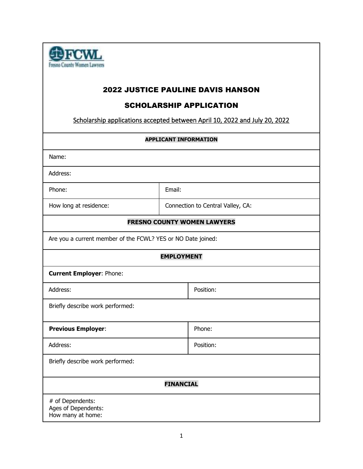

## 2022 JUSTICE PAULINE DAVIS HANSON

### SCHOLARSHIP APPLICATION

Scholarship applications accepted between April 10, 2022 and July 20, 2022

# **APPLICANT INFORMATION** Name: Address: Phone: Email: How long at residence: <br> Connection to Central Valley, CA: **FRESNO COUNTY WOMEN LAWYERS** Are you a current member of the FCWL? YES or NO Date joined: **EMPLOYMENT Current Employer**: Phone: Address: Position: Position: Position: Position: Position: Position: Position: Position: Position: Position: Position: Position: Position: Position: Position: Position: Position: Position: Position: Position: Position: Pos Briefly describe work performed: **Previous Employer:** Phone: Address: Position: Position: Briefly describe work performed:

## **FINANCIAL**

# of Dependents: Ages of Dependents: How many at home: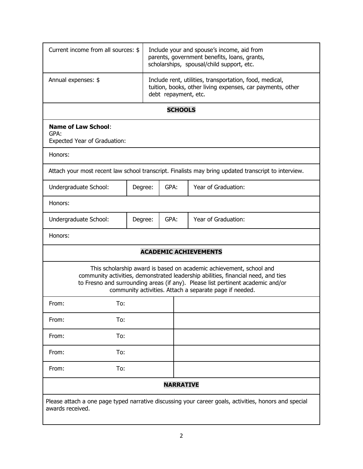| Current income from all sources: \$                                                                                                                                                                                                                                                                    |         | Include your and spouse's income, aid from<br>parents, government benefits, loans, grants,<br>scholarships, spousal/child support, etc.       |                     |  |
|--------------------------------------------------------------------------------------------------------------------------------------------------------------------------------------------------------------------------------------------------------------------------------------------------------|---------|-----------------------------------------------------------------------------------------------------------------------------------------------|---------------------|--|
| Annual expenses: \$                                                                                                                                                                                                                                                                                    |         | Include rent, utilities, transportation, food, medical,<br>tuition, books, other living expenses, car payments, other<br>debt repayment, etc. |                     |  |
| <b>SCHOOLS</b>                                                                                                                                                                                                                                                                                         |         |                                                                                                                                               |                     |  |
| <b>Name of Law School:</b><br>GPA:<br><b>Expected Year of Graduation:</b>                                                                                                                                                                                                                              |         |                                                                                                                                               |                     |  |
| Honors:                                                                                                                                                                                                                                                                                                |         |                                                                                                                                               |                     |  |
| Attach your most recent law school transcript. Finalists may bring updated transcript to interview.                                                                                                                                                                                                    |         |                                                                                                                                               |                     |  |
| Undergraduate School:                                                                                                                                                                                                                                                                                  | Degree: | GPA:                                                                                                                                          | Year of Graduation: |  |
| Honors:                                                                                                                                                                                                                                                                                                |         |                                                                                                                                               |                     |  |
| Undergraduate School:                                                                                                                                                                                                                                                                                  | Degree: | GPA:                                                                                                                                          | Year of Graduation: |  |
| Honors:                                                                                                                                                                                                                                                                                                |         |                                                                                                                                               |                     |  |
| <b>ACADEMIC ACHIEVEMENTS</b>                                                                                                                                                                                                                                                                           |         |                                                                                                                                               |                     |  |
| This scholarship award is based on academic achievement, school and<br>community activities, demonstrated leadership abilities, financial need, and ties<br>to Fresno and surrounding areas (if any). Please list pertinent academic and/or<br>community activities. Attach a separate page if needed. |         |                                                                                                                                               |                     |  |
| From:<br>To:                                                                                                                                                                                                                                                                                           |         |                                                                                                                                               |                     |  |
| To:<br>From:                                                                                                                                                                                                                                                                                           |         |                                                                                                                                               |                     |  |
| To:<br>From:                                                                                                                                                                                                                                                                                           |         |                                                                                                                                               |                     |  |
| From:<br>To:                                                                                                                                                                                                                                                                                           |         |                                                                                                                                               |                     |  |
| To:<br>From:                                                                                                                                                                                                                                                                                           |         |                                                                                                                                               |                     |  |
| <b>NARRATIVE</b>                                                                                                                                                                                                                                                                                       |         |                                                                                                                                               |                     |  |
| Please attach a one page typed narrative discussing your career goals, activities, honors and special<br>awards received.                                                                                                                                                                              |         |                                                                                                                                               |                     |  |